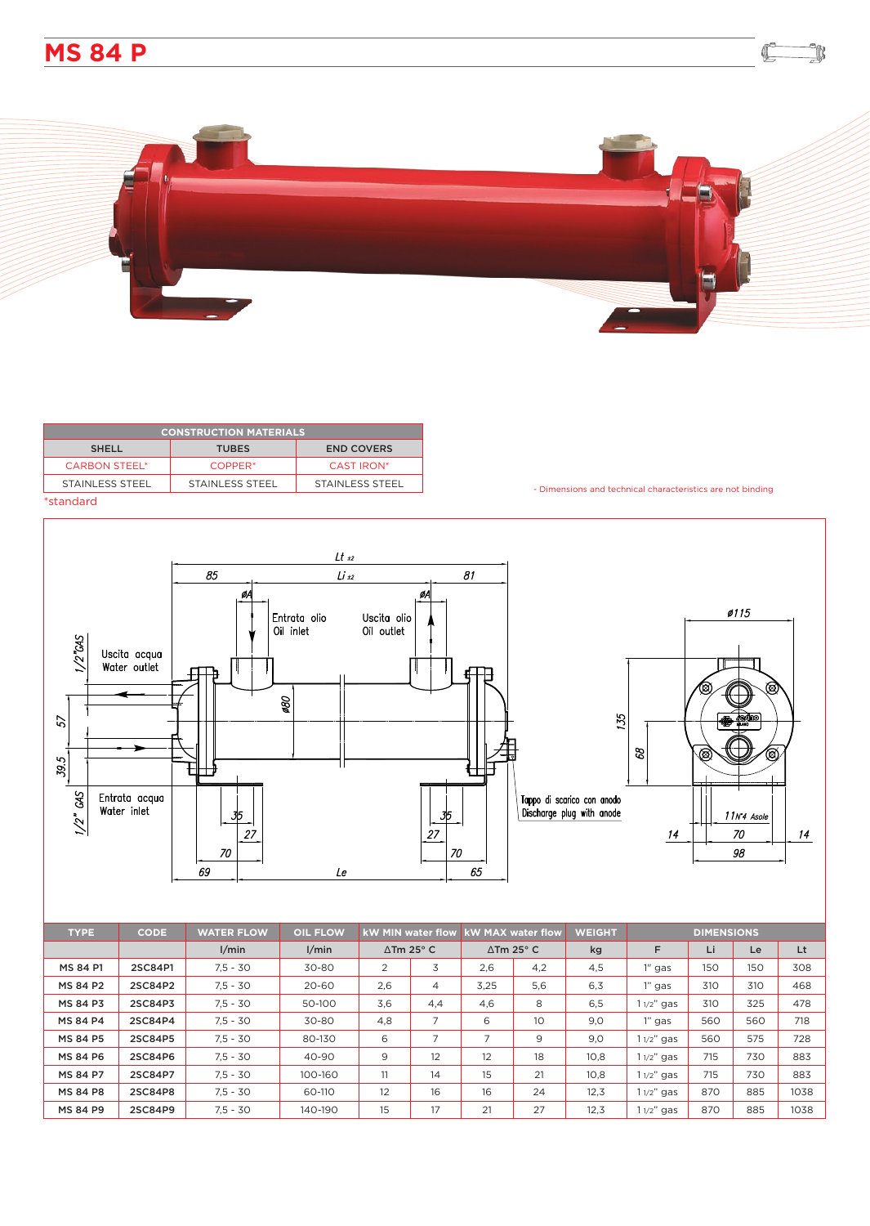



| <b>CONSTRUCTION MATERIALS</b>                     |                     |                   |  |  |  |  |  |  |
|---------------------------------------------------|---------------------|-------------------|--|--|--|--|--|--|
| <b>END COVERS</b><br><b>SHELL</b><br><b>TUBES</b> |                     |                   |  |  |  |  |  |  |
| <b>CARBON STEEL*</b>                              | COPPER <sup>*</sup> | <b>CAST IRON*</b> |  |  |  |  |  |  |
| STAINLESS STEEL                                   | STAINLESS STEEL     | STAINLESS STEEL   |  |  |  |  |  |  |
| $*$ standard                                      |                     |                   |  |  |  |  |  |  |

- Dimensions and technical characteristics are not binding

₡

k

## \*standard



| <b>TYPE</b>     | <b>CODE</b> | <b>WATER FLOW</b> | <b>OIL FLOW</b> | <b>kW MAX water flow</b><br><b>kW MIN water flow</b> |                   | <b>WEIGHT</b>     | <b>DIMENSIONS</b> |      |              |     |     |      |
|-----------------|-------------|-------------------|-----------------|------------------------------------------------------|-------------------|-------------------|-------------------|------|--------------|-----|-----|------|
|                 |             | 1/min             | 1/min           |                                                      | $\Delta$ Tm 25° C | $\Delta$ Tm 25° C |                   | kg   | F            | Li  | Le  | Lt   |
| MS 84 P1        | 2SC84P1     | $7.5 - 30$        | 30-80           | 2                                                    | 3                 | 2,6               | 4,2               | 4,5  | $1''$ gas    | 150 | 150 | 308  |
| <b>MS 84 P2</b> | 2SC84P2     | $7,5 - 30$        | 20-60           | 2.6                                                  | $\overline{4}$    | 3,25              | 5,6               | 6,3  | 1" gas       | 310 | 310 | 468  |
| <b>MS 84 P3</b> | 2SC84P3     | $7.5 - 30$        | 50-100          | 3,6                                                  | 4,4               | 4,6               | 8                 | 6,5  | $11/2$ " gas | 310 | 325 | 478  |
| <b>MS 84 P4</b> | 2SC84P4     | $7.5 - 30$        | 30-80           | 4.8                                                  | 7                 | 6                 | 10 <sup>°</sup>   | 9,0  | $1"$ gas     | 560 | 560 | 718  |
| <b>MS 84 P5</b> | 2SC84P5     | $7.5 - 30$        | 80-130          | 6                                                    | 7                 | ⇁                 | 9                 | 9,0  | $11/2$ " gas | 560 | 575 | 728  |
| <b>MS 84 P6</b> | 2SC84P6     | $7.5 - 30$        | 40-90           | 9                                                    | 12                | 12                | 18                | 10,8 | $11/2$ " gas | 715 | 730 | 883  |
| <b>MS 84 P7</b> | 2SC84P7     | $7,5 - 30$        | 100-160         | 11                                                   | 14                | 15                | 21                | 10,8 | $11/2$ " gas | 715 | 730 | 883  |
| <b>MS 84 P8</b> | 2SC84P8     | $7.5 - 30$        | 60-110          | 12                                                   | 16                | 16                | 24                | 12,3 | $11/2$ " gas | 870 | 885 | 1038 |
| <b>MS 84 P9</b> | 2SC84P9     | $7.5 - 30$        | 140-190         | 15                                                   | 17                | 21                | 27                | 12,3 | $11/2$ " gas | 870 | 885 | 1038 |